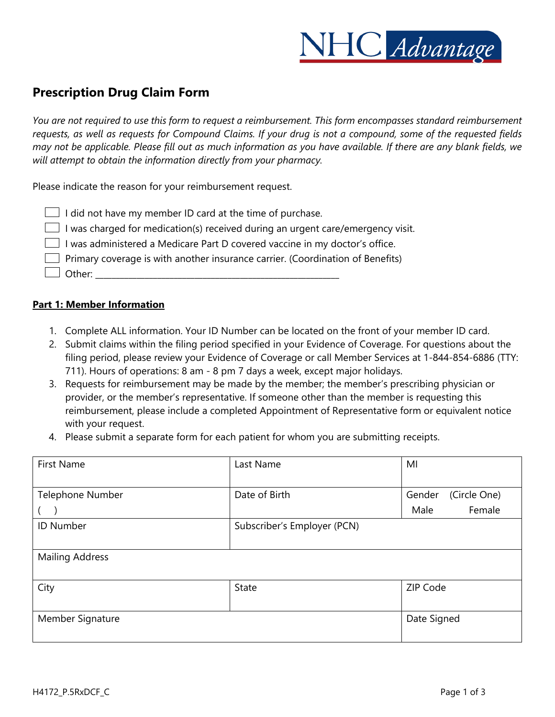

# **Prescription Drug Claim Form**

*You are not required to use this form to request a reimbursement. This form encompasses standard reimbursement requests, as well as requests for Compound Claims. If your drug is not a compound, some of the requested fields may not be applicable. Please fill out as much information as you have available. If there are any blank fields, we will attempt to obtain the information directly from your pharmacy.*

Please indicate the reason for your reimbursement request.

|  | $\Box$ I did not have my member ID card at the time of purchase.                       |  |  |  |  |
|--|----------------------------------------------------------------------------------------|--|--|--|--|
|  | $\Box$ I was charged for medication(s) received during an urgent care/emergency visit. |  |  |  |  |

 $\Box$  I was administered a Medicare Part D covered vaccine in my doctor's office.

 $\Box$  Primary coverage is with another insurance carrier. (Coordination of Benefits)

 $\Box$  Other:

#### **Part 1: Member Information**

- 1. Complete ALL information. Your ID Number can be located on the front of your member ID card.
- 2. Submit claims within the filing period specified in your Evidence of Coverage. For questions about the filing period, please review your Evidence of Coverage or call Member Services at 1-844-854-6886 (TTY: 711). Hours of operations: 8 am - 8 pm 7 days a week, except major holidays.
- 3. Requests for reimbursement may be made by the member; the member's prescribing physician or provider, or the member's representative. If someone other than the member is requesting this reimbursement, please include a completed Appointment of Representative form or equivalent notice with your request.
- 4. Please submit a separate form for each patient for whom you are submitting receipts.

| <b>First Name</b>                               | Last Name     | MI                     |  |  |
|-------------------------------------------------|---------------|------------------------|--|--|
|                                                 |               |                        |  |  |
| Telephone Number                                | Date of Birth | (Circle One)<br>Gender |  |  |
|                                                 |               | Female<br>Male         |  |  |
| Subscriber's Employer (PCN)<br><b>ID Number</b> |               |                        |  |  |
|                                                 |               |                        |  |  |
| <b>Mailing Address</b>                          |               |                        |  |  |
|                                                 |               |                        |  |  |
| City                                            | <b>State</b>  | ZIP Code               |  |  |
|                                                 |               |                        |  |  |
| Member Signature                                | Date Signed   |                        |  |  |
|                                                 |               |                        |  |  |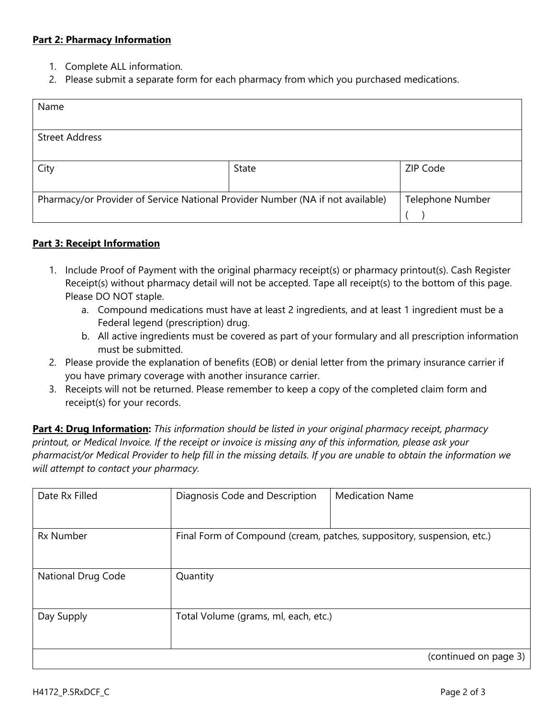### **Part 2: Pharmacy Information**

- 1. Complete ALL information.
- 2. Please submit a separate form for each pharmacy from which you purchased medications.

| Name                                                                           |                         |          |
|--------------------------------------------------------------------------------|-------------------------|----------|
|                                                                                |                         |          |
| <b>Street Address</b>                                                          |                         |          |
|                                                                                |                         |          |
| City                                                                           | State                   | ZIP Code |
|                                                                                |                         |          |
| Pharmacy/or Provider of Service National Provider Number (NA if not available) | <b>Telephone Number</b> |          |
|                                                                                |                         |          |

### **Part 3: Receipt Information**

- 1. Include Proof of Payment with the original pharmacy receipt(s) or pharmacy printout(s). Cash Register Receipt(s) without pharmacy detail will not be accepted. Tape all receipt(s) to the bottom of this page. Please DO NOT staple.
	- a. Compound medications must have at least 2 ingredients, and at least 1 ingredient must be a Federal legend (prescription) drug.
	- b. All active ingredients must be covered as part of your formulary and all prescription information must be submitted.
- 2. Please provide the explanation of benefits (EOB) or denial letter from the primary insurance carrier if you have primary coverage with another insurance carrier.
- 3. Receipts will not be returned. Please remember to keep a copy of the completed claim form and receipt(s) for your records.

**Part 4: Drug Information:** *This information should be listed in your original pharmacy receipt, pharmacy printout, or Medical Invoice. If the receipt or invoice is missing any of this information, please ask your pharmacist/or Medical Provider to help fill in the missing details. If you are unable to obtain the information we will attempt to contact your pharmacy.*

| Date Rx Filled     | Diagnosis Code and Description                                         | <b>Medication Name</b> |  |
|--------------------|------------------------------------------------------------------------|------------------------|--|
| <b>Rx Number</b>   | Final Form of Compound (cream, patches, suppository, suspension, etc.) |                        |  |
| National Drug Code | Quantity                                                               |                        |  |
| Day Supply         | Total Volume (grams, ml, each, etc.)                                   |                        |  |
|                    |                                                                        | (continued on page 3)  |  |